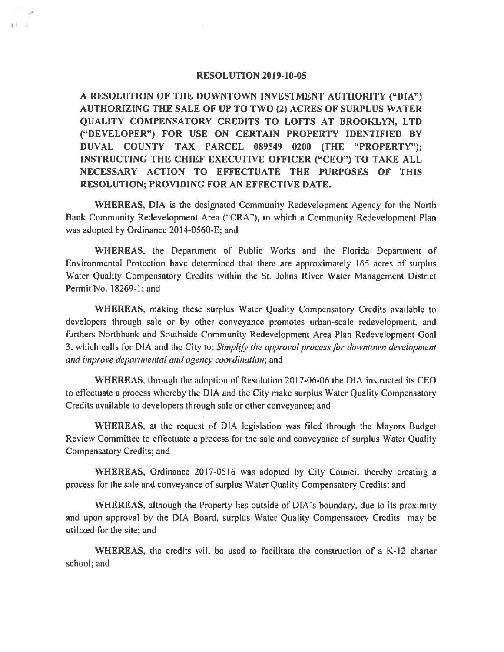## **RESOLUTION 2019-10-05**

 $113$ 

**A RESOLUTION OF THE DOWNTOWN INVESTMENT AUTHORITY ("DIA") AUTHORIZING THE SALE OF UP TO TWO (2) ACRES OF SURPLUS WATER QUALITY COMPENSATORY CREDITS TO LOFTS AT BROOKLYN, LTD ("DEVELOPER") FOR USE ON CERTAIN PROPERTY IDENTIFIED BY DUVAL COUNTY TAX PARCEL 089549 0200 (THE "PROPERTY"); INSTRUCTING THE CHIEF EXECUTIVE OFFICER ("CEO") TO TAKE ALL NECESSARY ACTION TO EFFECTUATE THE PURPOSES OF THIS RESOLUTION; PROVIDING FOR AN EFFECTIVE DATE.** 

**WHEREAS,** DIA is the designated Community Redevelopment Agency for the North Bank Community Redevelopment Area ("CRA"), to which a Community Redevelopment Plan was adopted by Ordinance 2014-0560-E; and

**WHEREAS,** the Department of Public Works and the Florida Department of Environmental Protection have determined that there are approximately 165 acres of surplus Water Quality Compensatory Credits within the St. Johns River Water Management District Permit No. 18269-1; and

**WHEREAS,** making these surplus Water Quality Compensatory Credits available to developers through sale or by other conveyance promotes urban-scale redevelopment, and furthers Northbank and Southside Community Redevelopment Area Plan Redevelopment Goal 3, which calls for DIA and the City to: *Simplify the approval process for downtown development and improve departmental and agency coordination;* and

**WHEREAS,** through the adoption of Resolution 2017-06-06 the DIA instructed its CEO to effectuate a process whereby the DIA and the City make surplus Water Quality Compensatory Credits available to developers through sale or other conveyance; and

**WHEREAS,** at the request of DIA legislation was filed through the Mayors Budget Review Committee to effectuate a process for the sale and conveyance of surplus Water Quality Compensatory Credits; and

**WHEREAS,** Ordinance 2017-0516 was adopted by City Council thereby creating a process for the sale and conveyance of surplus Water Quality Compensatory Credits; and

**WHEREAS,** although the Property lies outside of DIA's boundary, due to its proximity and upon approval by the DIA Board, surplus Water Quality Compensatory Credits may be utilized for the site; and

**WHEREAS,** the credits will be used to facilitate the construction of a K-12 charter school; and